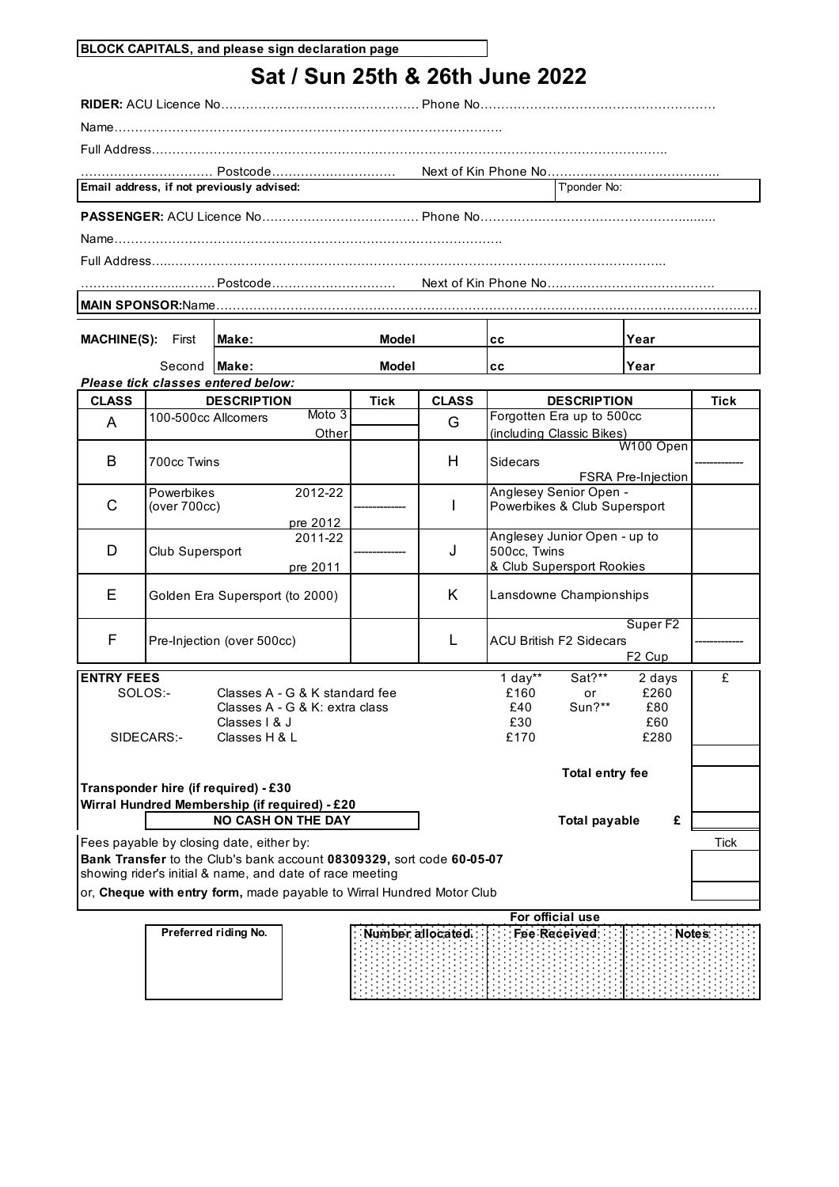| <b>BLOCK CAPITALS, and please sign declaration page</b> |  |  |
|---------------------------------------------------------|--|--|
|                                                         |  |  |

## **Sat / Sun 25th & 26th June 2022**

**RIDER:** ACU Licence No………………………………………….Phone No…………………………………………………

Name………………………………………………………………………………….

Full Address……………………………………………………………………………………………………………..

…………………………………………………………………………………………………………………………………. Next of Kin Phone No…………………………………... Postcode………………………… **Email address, if not previously advised:** The mail and the state of the state of the Tennis of Tennis and Tennis and Tennis and Tennis and Tennis and Tennis and Tennis and Tennis and Tennis and Tennis and Tennis and Tenn

**PASSENGER:** ACU Licence No…………………………………………. Phone No…………….…………………………….........

Name………………………………………………………………………………….

Full Address…...………………………………………………………………………………………………………..

……….…………...…….……………………………………………………………………. Next of Kin Phone No….…...…………………………. Postcode…………………………

**MAIN SPONSOR:**Name………………………………………………………………………………………………………………………….

| MACUINE/C\. | $E_{inst}$ | M <sub>2</sub> |  |
|-------------|------------|----------------|--|

| <b>MACHINE(S):</b> | First               | Make:                              | <b>Model</b> |              | cс                 | <b>Year</b> |      |
|--------------------|---------------------|------------------------------------|--------------|--------------|--------------------|-------------|------|
|                    | Second <b>Make:</b> |                                    | <b>Model</b> |              | cс                 | Year        |      |
|                    |                     | Please tick classes entered below: |              |              |                    |             |      |
| <b>CLASS</b>       |                     | <b>DESCRIPTION</b>                 | Tick         | <b>CLASS</b> | <b>DESCRIPTION</b> |             | Tick |

| ◡∟┌៶◡◡  | יוטוו ווטשבע                                      | <br>◡▃┌◟◡ | יוטוו ווטשבע                                                                 | . |
|---------|---------------------------------------------------|-----------|------------------------------------------------------------------------------|---|
| A       | Moto 3<br>100-500cc Allcomers<br>Other            | G         | Forgotten Era up to 500cc<br>(including Classic Bikes)                       |   |
| В       | 700cc Twins                                       | H         | W100 Open<br>Sidecars<br><b>FSRA Pre-Injection</b>                           |   |
| С       | 2012-22<br>Powerbikes<br>(over 700cc)<br>pre 2012 |           | Anglesey Senior Open -<br>Powerbikes & Club Supersport                       |   |
| D       | 2011-22<br>Club Supersport<br>pre 2011            | J         | Anglesey Junior Open - up to<br>500cc, Twins<br>& Club Supersport Rookies    |   |
| E.      | Golden Era Supersport (to 2000)                   | K         | Lansdowne Championships                                                      |   |
| F       | Pre-Injection (over 500cc)                        |           | Super F <sub>2</sub><br><b>ACU British F2 Sidecars</b><br>F <sub>2</sub> Cup |   |
| --- --- |                                                   |           | a communication of the communication<br>_____                                |   |

| <b>IENTRY FEES</b> |                                               | 1 day** | Sat?**          | 2 days |      |
|--------------------|-----------------------------------------------|---------|-----------------|--------|------|
| SOLOS:-            | Classes A - G & K standard fee                | £160    | or              | £260   |      |
|                    | Classes A - G & K: extra class                | £40     | $Sun?**$        | £80    |      |
|                    | Classes   & J                                 | £30     |                 | £60    |      |
| SIDECARS:-         | Classes H & L                                 | £170    |                 | £280   |      |
|                    |                                               |         |                 |        |      |
|                    |                                               |         | Total entry fee |        |      |
|                    | Transponder hire (if required) - £30          |         |                 |        |      |
|                    | Wirral Hundred Membership (if required) - £20 |         |                 |        |      |
|                    | <b>NO CASH ON THE DAY</b>                     |         | Total payable   | £      |      |
|                    | Fees payable by closing date, either by:      |         |                 |        | Tick |

**Bank Transfer** to the Club's bank account **08309329,** sort code **60-05-07** showing rider's initial & name, and date of race meeting

or, **Cheque with entry form,** made payable to Wirral Hundred Motor Club

| For official use |
|------------------|
|                  |
|                  |
|                  |
|                  |
|                  |
|                  |